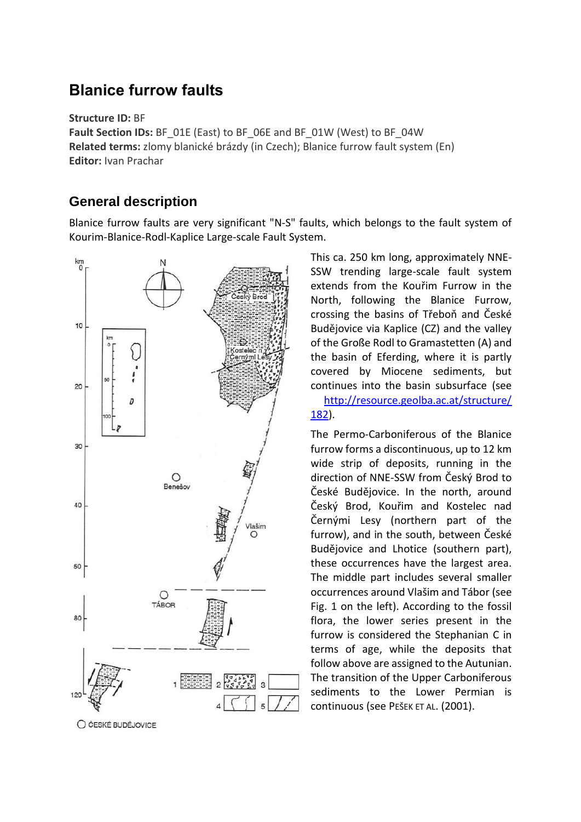# **Blanice furrow faults**

**Structure ID:** BF

**Fault Section IDs:** BF\_01E (East) to BF\_06E and BF\_01W (West) to BF\_04W **Related terms:** zlomy blanické brázdy (in Czech); Blanice furrow fault system (En) **Editor:** Ivan Prachar

#### **General description**

Blanice furrow faults are very significant "N-S" faults, which belongs to the fault system of Kourim-Blanice-Rodl-Kaplice Large-scale Fault System.



This ca. 250 km long, approximately NNE-SSW trending large-scale fault system extends from the Kouřim Furrow in the North, following the Blanice Furrow, crossing the basins of Třeboň and České Budějovice via Kaplice (CZ) and the valley of the Große Rodl to Gramastetten (A) and the basin of Eferding, where it is partly covered by Miocene sediments, but continues into the basin subsurface (see

[http://resource.geolba.ac.at/structure/](http://resource.geolba.ac.at/structure/%20182)  [182\)](http://resource.geolba.ac.at/structure/%20182).

The Permo-Carboniferous of the Blanice furrow forms a discontinuous, up to 12 km wide strip of deposits, running in the direction of NNE-SSW from Český Brod to České Budějovice. In the north, around Český Brod, Kouřim and Kostelec nad Černými Lesy (northern part of the furrow), and in the south, between České Budějovice and Lhotice (southern part), these occurrences have the largest area. The middle part includes several smaller occurrences around Vlašim and Tábor (see Fig. 1 on the left). According to the fossil flora, the lower series present in the furrow is considered the Stephanian C in terms of age, while the deposits that follow above are assigned to the Autunian. The transition of the Upper Carboniferous sediments to the Lower Permian is continuous (see PEŠEK ET AL. (2001).

O ČESKÉ BUDĚJOVICE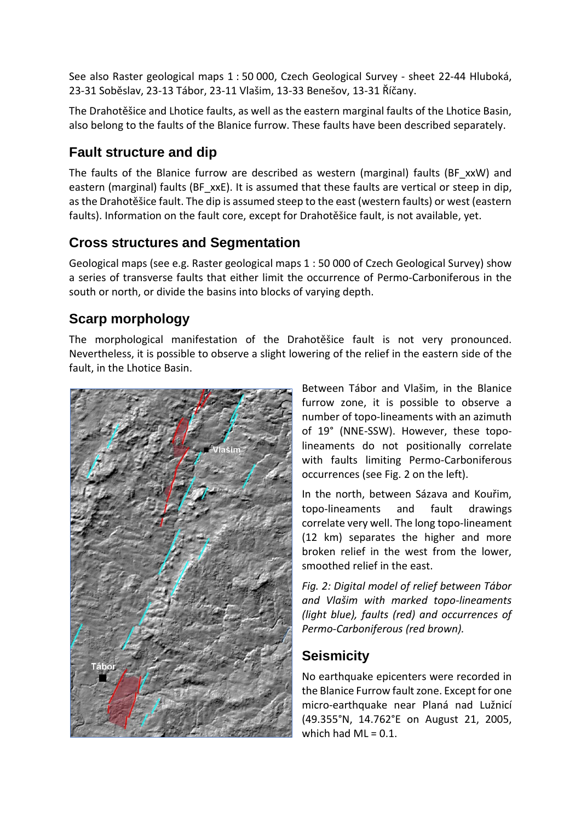See also Raster geological maps 1 : 50 000, Czech Geological Survey - sheet 22-44 Hluboká, 23-31 Soběslav, 23-13 Tábor, 23-11 Vlašim, 13-33 Benešov, 13-31 Říčany.

The Drahotěšice and Lhotice faults, as well as the eastern marginal faults of the Lhotice Basin, also belong to the faults of the Blanice furrow. These faults have been described separately.

#### **Fault structure and dip**

The faults of the Blanice furrow are described as western (marginal) faults (BF\_xxW) and eastern (marginal) faults (BF\_xxE). It is assumed that these faults are vertical or steep in dip, as the Drahotěšice fault. The dip is assumed steep to the east (western faults) or west (eastern faults). Information on the fault core, except for Drahotěšice fault, is not available, yet.

#### **Cross structures and Segmentation**

Geological maps (see e.g. Raster geological maps 1 : 50 000 of Czech Geological Survey) show a series of transverse faults that either limit the occurrence of Permo-Carboniferous in the south or north, or divide the basins into blocks of varying depth.

### **Scarp morphology**

The morphological manifestation of the Drahotěšice fault is not very pronounced. Nevertheless, it is possible to observe a slight lowering of the relief in the eastern side of the fault, in the Lhotice Basin.



Between Tábor and Vlašim, in the Blanice furrow zone, it is possible to observe a number of topo-lineaments with an azimuth of 19° (NNE-SSW). However, these topolineaments do not positionally correlate with faults limiting Permo-Carboniferous occurrences (see Fig. 2 on the left).

In the north, between Sázava and Kouřim, topo-lineaments and fault drawings correlate very well. The long topo-lineament (12 km) separates the higher and more broken relief in the west from the lower, smoothed relief in the east.

*Fig. 2: Digital model of relief between Tábor and Vlašim with marked topo-lineaments (light blue), faults (red) and occurrences of Permo-Carboniferous (red brown).*

### **Seismicity**

No earthquake epicenters were recorded in the Blanice Furrow fault zone. Except for one micro-earthquake near Planá nad Lužnicí (49.355°N, 14.762°E on August 21, 2005, which had  $ML = 0.1$ .